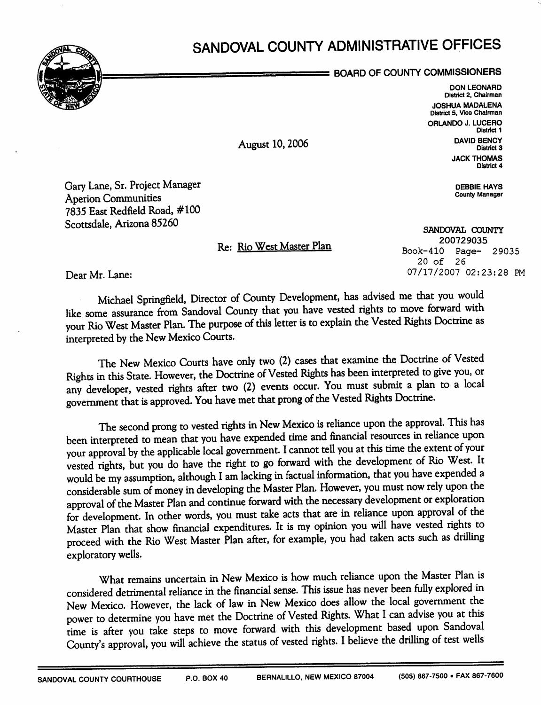## SANDOVAL COUNTY ADMINISTRATIVE OFFICES



BOARD OF COUNTY COMMISSIONERS

DON LEONARD District 2, Chairman JOSHUA MADALENA District 5, Vice Chairman ORLANDO J. LUCERO District 1 DAVID BENCY District 3 **JACK THOMAS** District 4

> DEBBIE HAYS County Manager

Gary Lane, Sr. Project Manager Aperion Communities 7835 East Redfield Road, #100 Scottsdale, Arizona 85260

Re: Rio West Master Plan

August 10,2006

SANDOVAL COUNTY 200729035 Book-410 Page- 29035 20 of 26 07/17/2007 02:23:28 PM

Dear Mr. Lane:

Michael Springfield, Director of County Development, has advised me that you would like some assurance from Sandoval County that you have vested rights to move forward with your Rio West Master Plan. The purpose of this letter is to explain the Vested Rights Doctrine as interpreted by the New Mexico Courts.

The New Mexico Courts have only two (2) cases that examine the Doctrine of Vested Rights in this State. However, the Doctrine of Vested Rights has been interpreted to give you, or any developer, vested rights afrer two (2) events occur. You must submit a plan to a local goverrunent that is approved. You have met that prong of the Vested Rights Doctrine.

The second prong to vested rights in New Mexico is reliance upon the approval. This has been interpreted to mean that you have expended time and financial resources in reliance upon your approval by the applicable local government. I cannot tell you at this time the extent of your vested rights, but you do have the right to go forward with the development of Rio West. It would be my assumption, although I am lacking in factual information, that you have expended a considerable sum of money in developing the Master Plan. However, you must now rely upon the for development. In other words, you must take acts that are in reliance upon approval of the Master Plan that show financial expenditures. It is my opinion you will have vested rights to proceed with the Rio West Master Plan after, for example, you had taken acts such as driling exploratory wells.

What remains uncertain in New Mexico is how much reliance upon the Master Plan is considered detrimental reliance in the financial sense. This issue has never been fully explored in New Mexico. However, the lack of law in New Mexico does allow the local government the power to determine you have met the Doctrine of Vested Rights. What I can advise you at this time is after you take steps to move forward with this development based upon Sandoval County's approval, you will achieve the status of vested rights. I believe the drilling of test wells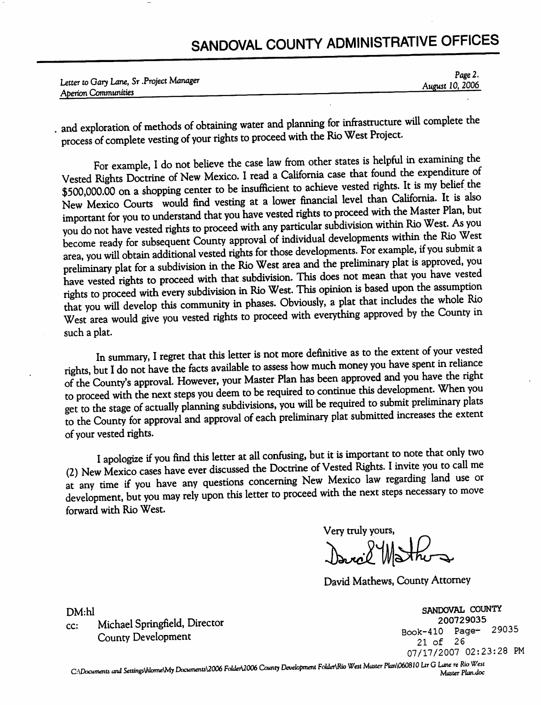## SANDOVAL COUNTY ADMINISTRATIVE OFFICES

|                                           | Page 2.         |
|-------------------------------------------|-----------------|
| Letter to Gary Lane, Sr . Project Manager | August 10, 2006 |
| Aperion Communities                       |                 |

. and exploration of methods of obtaining water and planning for infrastructure will complete the process of complete vesting of your rights to proceed with the Rio West Project.

For example, I do not believe the case law from other states is helpful in examining the Vested Rights Doctrine of New Mexico. I read a California case that found the expenditure of \$500,000.00 on a shopping center to be i New Mexico Courts vould find vesting at a lower financial level than California. It is also important for you to understand that you have vested rights to proceed with the Master Plan, but you do not have vested rights to proceed with any particular subdivision within Rio West. As you become ready for subsequent County approval of individual developments within the Rio West. area, you wiU obtain additional vested rights for those developments. For example, if you submit a preliminary plat for a subdivision in the Rio West area and the preliminary plat is approved, you have vested rights to proceed with that subdivision. This does not mean that you have vested<br>rights to proceed with every subdivision in Rio West. This opinion is based upon the assumption that you will develop this community in phases. Obviously, a plat that includes the whole Rio West area would give you vested rights to proceed with everything approved by the County in such a plat.

In summary, I regret that this letter is not more definitive as to the extent of your vested<br>rights, but I do not have the facts available to assess how much money you have spent in reliance<br>of the County's approval. Howev to proceed with the next steps you deem to be required to continue this development. When you<br>get to the stage of actually planning subdivisions, you will be required to submit preliminary plats to the County for approval and approval of each preliminary plat submitted increases the extent of your vested rights.

I apologize if you find this letter at all confusing, but it is important to note that only two (2) New Mexico cases have ever discussed the Doctrine of Vested Rights. I invite you to call me<br>at any time if you have any qu development, but you may rely upon this letter to proceed with the next steps necessary to move forward with Rio West.

Very truly yours, David Whather

David Mathews, County Attorney

DM:hl<br>
CC: Michael Springfield, Director<br>
County Development<br>
County Development<br>
21 of 26